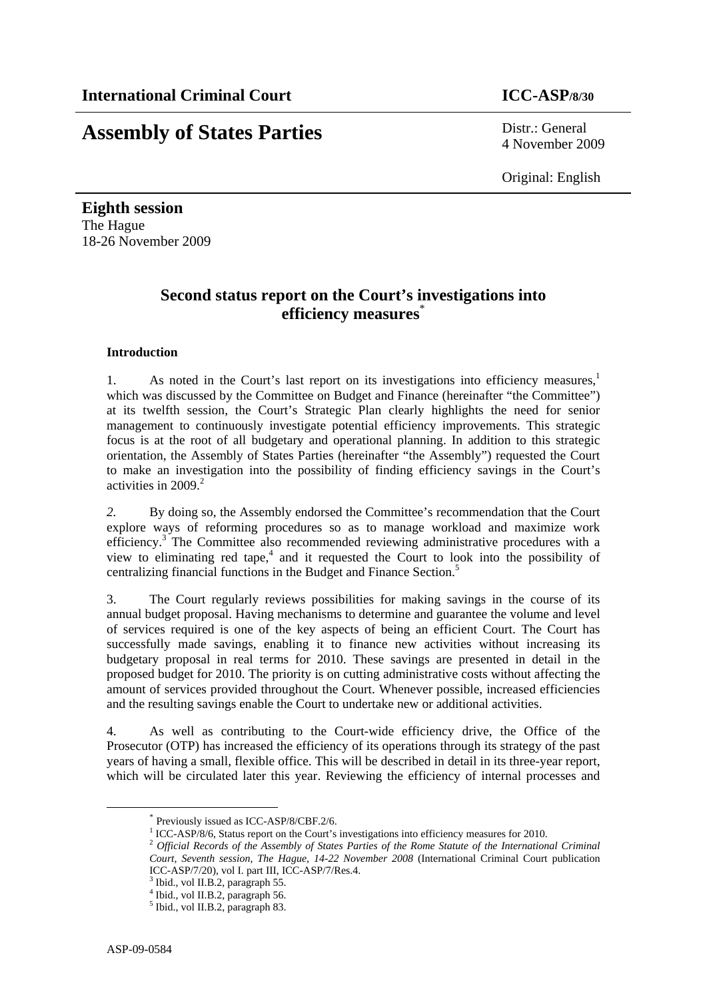# **Assembly of States Parties** Distr.: General

4 November 2009

Original: English

**Eighth session**  The Hague 18-26 November 2009

## **Second status report on the Court's investigations into efficiency measures**\*

#### **Introduction**

1. As noted in the Court's last report on its investigations into efficiency measures,<sup>1</sup> which was discussed by the Committee on Budget and Finance (hereinafter "the Committee") at its twelfth session, the Court's Strategic Plan clearly highlights the need for senior management to continuously investigate potential efficiency improvements. This strategic focus is at the root of all budgetary and operational planning. In addition to this strategic orientation, the Assembly of States Parties (hereinafter "the Assembly") requested the Court to make an investigation into the possibility of finding efficiency savings in the Court's activities in  $2009<sup>2</sup>$ 

*2.* By doing so, the Assembly endorsed the Committee's recommendation that the Court explore ways of reforming procedures so as to manage workload and maximize work efficiency.<sup>3</sup> The Committee also recommended reviewing administrative procedures with a view to eliminating red tape, $4$  and it requested the Court to look into the possibility of centralizing financial functions in the Budget and Finance Section.<sup>5</sup>

3. The Court regularly reviews possibilities for making savings in the course of its annual budget proposal. Having mechanisms to determine and guarantee the volume and level of services required is one of the key aspects of being an efficient Court. The Court has successfully made savings, enabling it to finance new activities without increasing its budgetary proposal in real terms for 2010. These savings are presented in detail in the proposed budget for 2010. The priority is on cutting administrative costs without affecting the amount of services provided throughout the Court. Whenever possible, increased efficiencies and the resulting savings enable the Court to undertake new or additional activities.

4. As well as contributing to the Court-wide efficiency drive, the Office of the Prosecutor (OTP) has increased the efficiency of its operations through its strategy of the past years of having a small, flexible office. This will be described in detail in its three-year report, which will be circulated later this year. Reviewing the efficiency of internal processes and

 <sup>\*</sup> Previously issued as ICC-ASP/8/CBF.2/6.

 $1$  ICC-ASP/8/6, Status report on the Court's investigations into efficiency measures for 2010.

<sup>&</sup>lt;sup>2</sup> Official Records of the Assembly of States Parties of the Rome Statute of the International Criminal *Court, Seventh session, The Hague, 14-22 November 2008* (International Criminal Court publication ICC-ASP/7/20), vol I. part III, ICC-ASP/7/Res.4.

<sup>3</sup> Ibid., vol II.B.2, paragraph 55.

<sup>4</sup> Ibid., vol II.B.2, paragraph 56.

<sup>5</sup> Ibid., vol II.B.2, paragraph 83.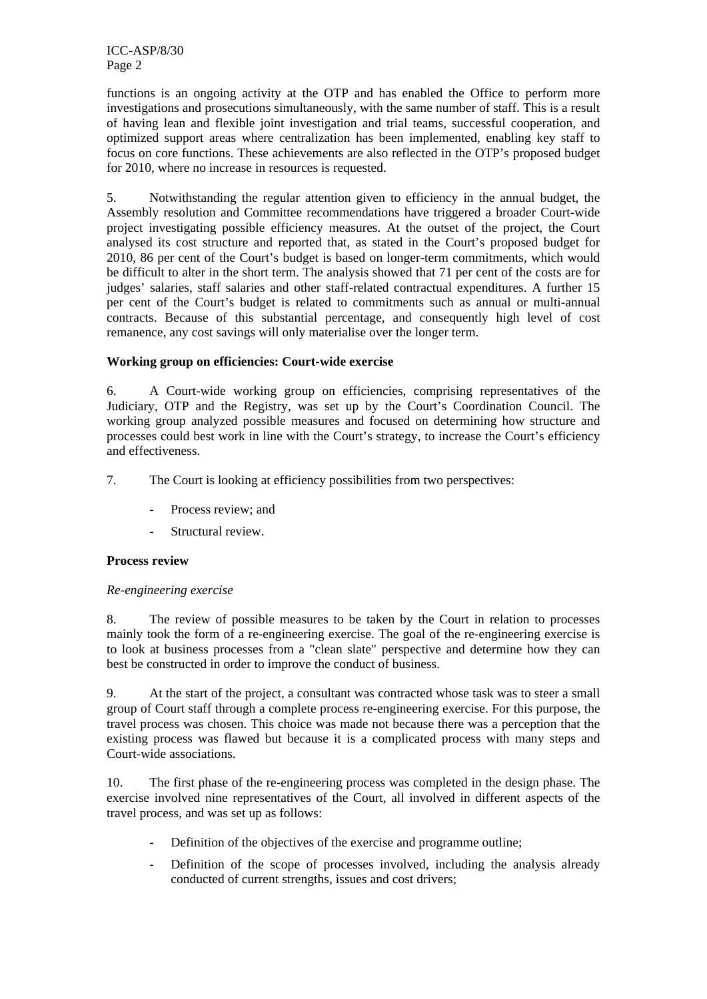functions is an ongoing activity at the OTP and has enabled the Office to perform more investigations and prosecutions simultaneously, with the same number of staff. This is a result of having lean and flexible joint investigation and trial teams, successful cooperation, and optimized support areas where centralization has been implemented, enabling key staff to focus on core functions. These achievements are also reflected in the OTP's proposed budget for 2010, where no increase in resources is requested.

5. Notwithstanding the regular attention given to efficiency in the annual budget, the Assembly resolution and Committee recommendations have triggered a broader Court-wide project investigating possible efficiency measures. At the outset of the project, the Court analysed its cost structure and reported that, as stated in the Court's proposed budget for 2010, 86 per cent of the Court's budget is based on longer-term commitments, which would be difficult to alter in the short term. The analysis showed that 71 per cent of the costs are for judges' salaries, staff salaries and other staff-related contractual expenditures. A further 15 per cent of the Court's budget is related to commitments such as annual or multi-annual contracts. Because of this substantial percentage, and consequently high level of cost remanence, any cost savings will only materialise over the longer term.

### **Working group on efficiencies: Court-wide exercise**

6. A Court-wide working group on efficiencies, comprising representatives of the Judiciary, OTP and the Registry, was set up by the Court's Coordination Council. The working group analyzed possible measures and focused on determining how structure and processes could best work in line with the Court's strategy, to increase the Court's efficiency and effectiveness.

7. The Court is looking at efficiency possibilities from two perspectives:

- Process review; and
- Structural review.

#### **Process review**

#### *Re-engineering exercise*

8. The review of possible measures to be taken by the Court in relation to processes mainly took the form of a re-engineering exercise. The goal of the re-engineering exercise is to look at business processes from a "clean slate" perspective and determine how they can best be constructed in order to improve the conduct of business.

9. At the start of the project, a consultant was contracted whose task was to steer a small group of Court staff through a complete process re-engineering exercise. For this purpose, the travel process was chosen. This choice was made not because there was a perception that the existing process was flawed but because it is a complicated process with many steps and Court-wide associations.

10. The first phase of the re-engineering process was completed in the design phase. The exercise involved nine representatives of the Court, all involved in different aspects of the travel process, and was set up as follows:

- Definition of the objectives of the exercise and programme outline;
- Definition of the scope of processes involved, including the analysis already conducted of current strengths, issues and cost drivers;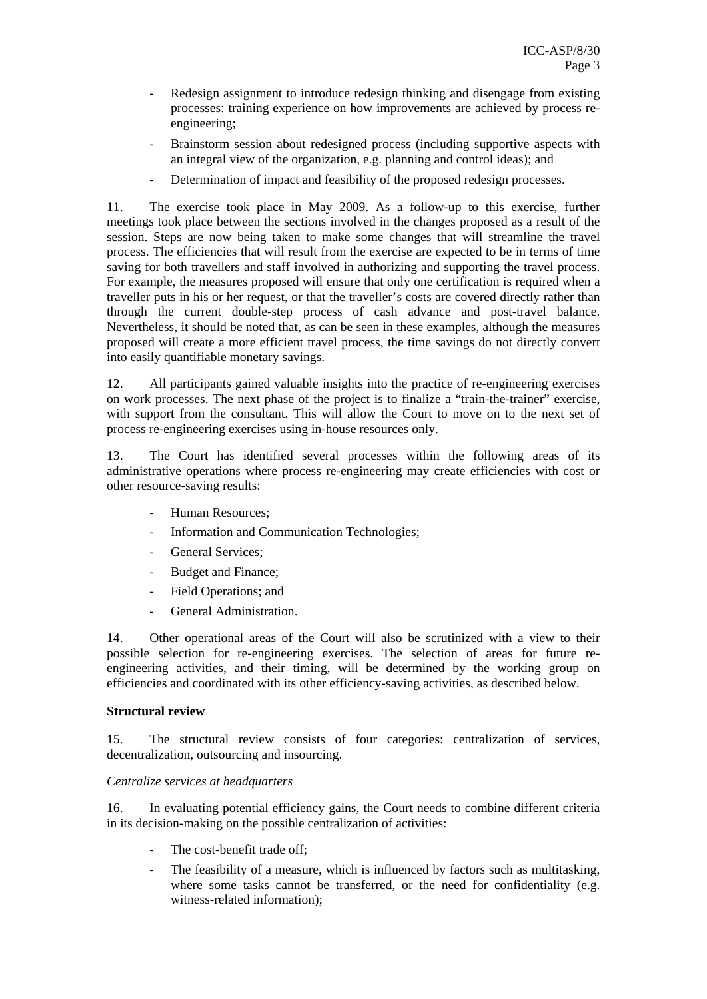- Redesign assignment to introduce redesign thinking and disengage from existing processes: training experience on how improvements are achieved by process reengineering;
- Brainstorm session about redesigned process (including supportive aspects with an integral view of the organization, e.g. planning and control ideas); and
- Determination of impact and feasibility of the proposed redesign processes.

11. The exercise took place in May 2009. As a follow-up to this exercise, further meetings took place between the sections involved in the changes proposed as a result of the session. Steps are now being taken to make some changes that will streamline the travel process. The efficiencies that will result from the exercise are expected to be in terms of time saving for both travellers and staff involved in authorizing and supporting the travel process. For example, the measures proposed will ensure that only one certification is required when a traveller puts in his or her request, or that the traveller's costs are covered directly rather than through the current double-step process of cash advance and post-travel balance. Nevertheless, it should be noted that, as can be seen in these examples, although the measures proposed will create a more efficient travel process, the time savings do not directly convert into easily quantifiable monetary savings.

12. All participants gained valuable insights into the practice of re-engineering exercises on work processes. The next phase of the project is to finalize a "train-the-trainer" exercise, with support from the consultant. This will allow the Court to move on to the next set of process re-engineering exercises using in-house resources only.

13. The Court has identified several processes within the following areas of its administrative operations where process re-engineering may create efficiencies with cost or other resource-saving results:

- Human Resources;
- Information and Communication Technologies:
- General Services;
- Budget and Finance;
- Field Operations; and
- General Administration.

14. Other operational areas of the Court will also be scrutinized with a view to their possible selection for re-engineering exercises. The selection of areas for future reengineering activities, and their timing, will be determined by the working group on efficiencies and coordinated with its other efficiency-saving activities, as described below.

#### **Structural review**

15. The structural review consists of four categories: centralization of services, decentralization, outsourcing and insourcing.

#### *Centralize services at headquarters*

16. In evaluating potential efficiency gains, the Court needs to combine different criteria in its decision-making on the possible centralization of activities:

- The cost-benefit trade off:
- The feasibility of a measure, which is influenced by factors such as multitasking, where some tasks cannot be transferred, or the need for confidentiality (e.g. witness-related information);